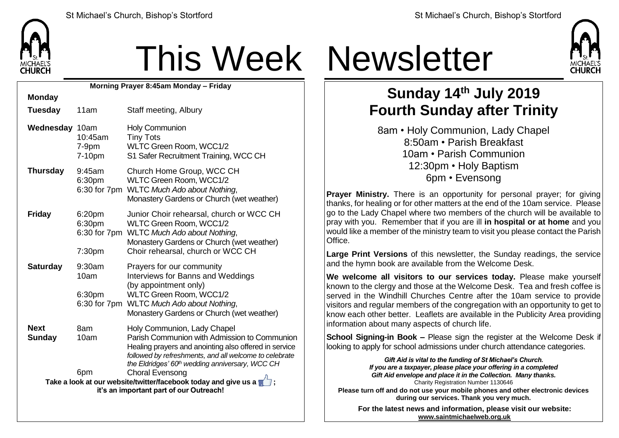

**Monday**

# This Week Newsletter

**Morning Prayer 8:45am Monday – Friday**

| 11am                                           | Staff meeting, Albury                                                                                                                                                                                                                                                                                                                                                                                                  |  |  |
|------------------------------------------------|------------------------------------------------------------------------------------------------------------------------------------------------------------------------------------------------------------------------------------------------------------------------------------------------------------------------------------------------------------------------------------------------------------------------|--|--|
| Wednesday 10am<br>10:45am<br>$7-9pm$<br>7-10pm | <b>Holy Communion</b><br><b>Tiny Tots</b><br>WLTC Green Room, WCC1/2<br>S1 Safer Recruitment Training, WCC CH                                                                                                                                                                                                                                                                                                          |  |  |
| 9:45am<br>6:30pm<br>6:30 for 7pm               | Church Home Group, WCC CH<br>WLTC Green Room, WCC1/2<br><b>WLTC Much Ado about Nothing,</b><br>Monastery Gardens or Church (wet weather)                                                                                                                                                                                                                                                                               |  |  |
| 6:20 <sub>pm</sub><br>6:30pm<br>6:30 for 7pm   | Junior Choir rehearsal, church or WCC CH<br>WLTC Green Room, WCC1/2<br><b>WLTC Much Ado about Nothing,</b><br>Monastery Gardens or Church (wet weather)<br>Choir rehearsal, church or WCC CH                                                                                                                                                                                                                           |  |  |
| 9:30am<br>10am<br>6:30pm<br>6:30 for 7pm       | Prayers for our community<br><b>Interviews for Banns and Weddings</b><br>(by appointment only)<br>WLTC Green Room, WCC1/2<br><b>WLTC Much Ado about Nothing,</b><br>Monastery Gardens or Church (wet weather)                                                                                                                                                                                                          |  |  |
| 8am<br>10am<br>6pm                             | Holy Communion, Lady Chapel<br>Parish Communion with Admission to Communion<br>Healing prayers and anointing also offered in service<br>followed by refreshments, and all welcome to celebrate<br>the Eldridges' 60 <sup>th</sup> wedding anniversary, WCC CH<br><b>Choral Evensong</b><br>Take a look at our website/twitter/facebook today and give us a $\blacksquare$ ;<br>it's an important part of our Outreach! |  |  |
|                                                | 7:30 <sub>pm</sub>                                                                                                                                                                                                                                                                                                                                                                                                     |  |  |



### **Sunday 14th July 2019 Fourth Sunday after Trinity**

8am • Holy Communion, Lady Chapel 8:50am • Parish Breakfast 10am • Parish Communion 12:30pm • Holy Baptism 6pm • Evensong

**Prayer Ministry.** There is an opportunity for personal prayer; for giving thanks, for healing or for other matters at the end of the 10am service. Please go to the Lady Chapel where two members of the church will be available to pray with you. Remember that if you are ill **in hospital or at home** and you would like a member of the ministry team to visit you please contact the Parish Office.

**Large Print Versions** of this newsletter, the Sunday readings, the service and the hymn book are available from the Welcome Desk.

**We welcome all visitors to our services today.** Please make yourself known to the clergy and those at the Welcome Desk. Tea and fresh coffee is served in the Windhill Churches Centre after the 10am service to provide visitors and regular members of the congregation with an opportunity to get to know each other better. Leaflets are available in the Publicity Area providing information about many aspects of church life.

**School Signing-in Book –** Please sign the register at the Welcome Desk if looking to apply for school admissions under church attendance categories.

> *Gift Aid is vital to the funding of St Michael's Church. If you are a taxpayer, please place your offering in a completed Gift Aid envelope and place it in the Collection. Many thanks.* Charity Registration Number 1130646

**Please turn off and do not use your mobile phones and other electronic devices during our services. Thank you very much.**

**For the latest news and information, please visit our website: [www.saintmichaelweb.org.uk](http://www.saintmichaelweb.org.uk/)**